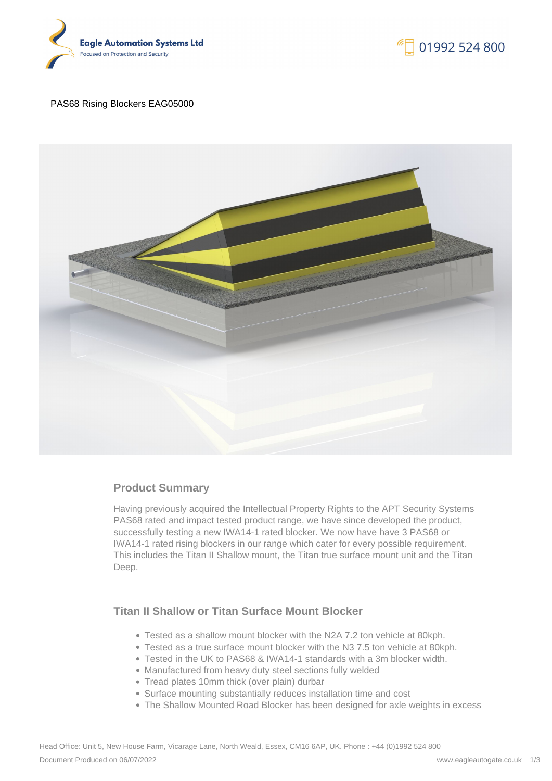



#### PAS68 Rising Blockers EAG05000



## **Product Summary**

Having previously acquired the Intellectual Property Rights to the APT Security Systems PAS68 rated and impact tested product range, we have since developed the product, successfully testing a new IWA14-1 rated blocker. We now have have 3 PAS68 or IWA14-1 rated rising blockers in our range which cater for every possible requirement. This includes the Titan II Shallow mount, the Titan true surface mount unit and the Titan Deep.

# **Titan II Shallow or Titan Surface Mount Blocker**

- Tested as a shallow mount blocker with the N2A 7.2 ton vehicle at 80kph.
- Tested as a true surface mount blocker with the N3 7.5 ton vehicle at 80kph.
- Tested in the UK to PAS68 & IWA14-1 standards with a 3m blocker width.
- Manufactured from heavy duty steel sections fully welded
- Tread plates 10mm thick (over plain) durbar
- Surface mounting substantially reduces installation time and cost
- The Shallow Mounted Road Blocker has been designed for axle weights in excess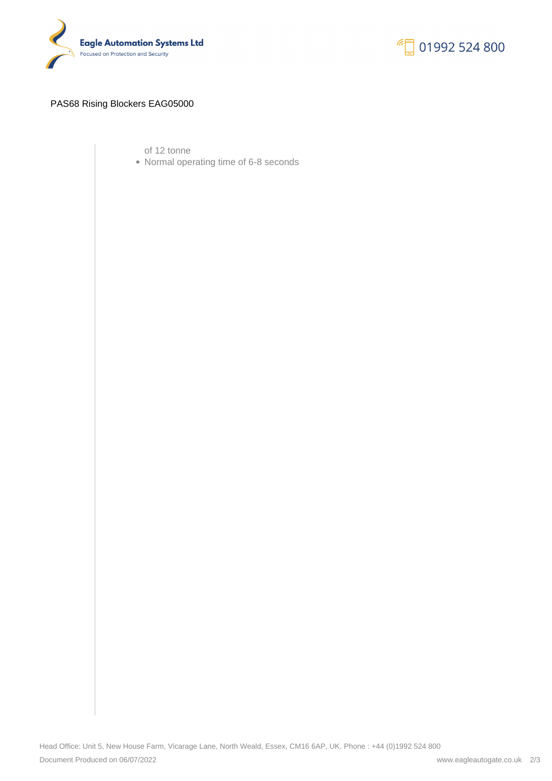



### PAS68 Rising Blockers EAG05000

of 12 tonne

Normal operating time of 6-8 seconds